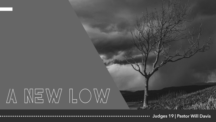## A NEW LOW

Judges 19 | Pastor Will Davis ..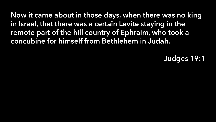Now it came about in those days, when there was no king in Israel, that there was a certain Levite staying in the remote part of the hill country of Ephraim, who took a concubine for himself from Bethlehem in Judah.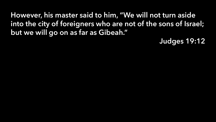However, his master said to him, "We will not turn aside into the city of foreigners who are not of the sons of Israel; but we will go on as far as Gibeah."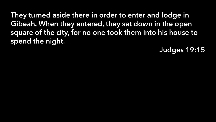They turned aside there in order to enter and lodge in Gibeah. When they entered, they sat down in the open square of the city, for no one took them into his house to spend the night.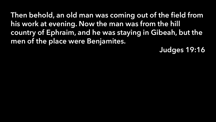Then behold, an old man was coming out of the field from his work at evening. Now the man was from the hill country of Ephraim, and he was staying in Gibeah, but the men of the place were Benjamites.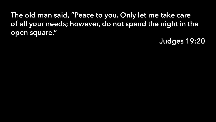The old man said, "Peace to you. Only let me take care of all your needs; however, do not spend the night in the open square."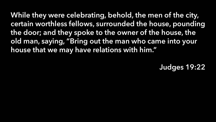While they were celebrating, behold, the men of the city, certain worthless fellows, surrounded the house, pounding the door; and they spoke to the owner of the house, the old man, saying, "Bring out the man who came into your house that we may have relations with him."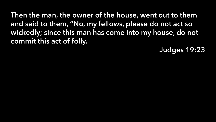Then the man, the owner of the house, went out to them and said to them, "No, my fellows, please do not act so wickedly; since this man has come into my house, do not commit this act of folly.